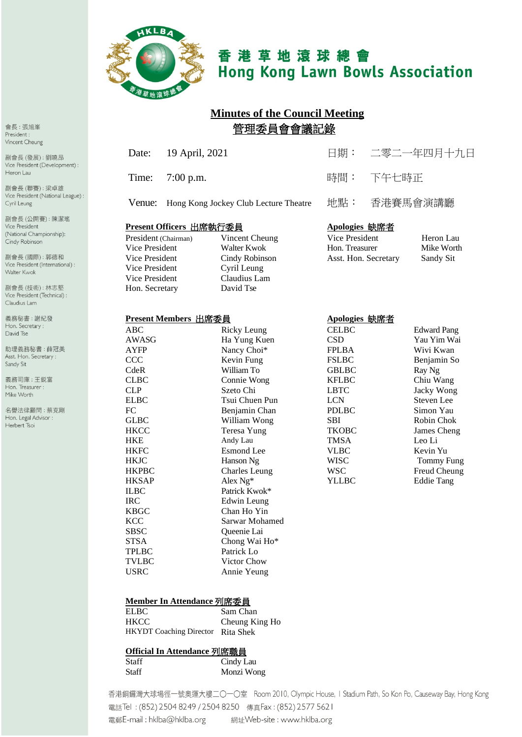

# 香港草地滾球總會 **Hong Kong Lawn Bowls Association**

# **Minutes of the Council Meeting** 管理委員會會議記錄

Cindy Robinson<br>Cyril Leung

| Date: 19 April, 2021                         | 日期: 二零二一年四月十九日 |
|----------------------------------------------|----------------|
| Time: $7:00 \text{ p.m.}$                    | 時間: 下午七時正      |
| Venue: Hong Kong Jockey Club Lecture Theatre | 地點: 香港賽馬會演講廳   |
|                                              |                |

#### **Present Officers** 出席執行委員 **Apologies** 缺席者

President (Chairman) Vincent Cheung<br>Vice President Heron Walter Kwok Vice President<br>Vice President Vice President Cyril Leung<br>
Vice President Claudius Lam Vice President Claudius I<br>
Hon. Secretary David Tse Hon. Secretary

| Vice President       | Heron Lau  |
|----------------------|------------|
| Hon. Treasurer       | Mike Worth |
| Asst. Hon. Secretary | Sandy Sit  |

#### **Present Members** 出席委員 **Apologies** 缺席者

| ABC          |                      | <b>CELBC</b> |                    |
|--------------|----------------------|--------------|--------------------|
|              | Ricky Leung          |              | <b>Edward Pang</b> |
| AWASG        | Ha Yung Kuen         | <b>CSD</b>   | Yau Yim Wai        |
| AYFP         | Nancy Choi*          | <b>FPLBA</b> | Wivi Kwan          |
| CCC          | Kevin Fung           | <b>FSLBC</b> | Benjamin So        |
| CdeR         | William To           | <b>GBLBC</b> | Ray Ng             |
| <b>CLBC</b>  | Connie Wong          | <b>KFLBC</b> | Chiu Wang          |
| <b>CLP</b>   | Szeto Chi            | <b>LBTC</b>  | Jacky Wong         |
| <b>ELBC</b>  | Tsui Chuen Pun       | <b>LCN</b>   | Steven Lee         |
| FC           | Benjamin Chan        | <b>PDLBC</b> | Simon Yau          |
| <b>GLBC</b>  | William Wong         | <b>SBI</b>   | Robin Chok         |
| <b>HKCC</b>  | Teresa Yung          | <b>TKOBC</b> | James Cheng        |
| <b>HKE</b>   | Andy Lau             | <b>TMSA</b>  | Leo Li             |
| <b>HKFC</b>  | <b>Esmond</b> Lee    | <b>VLBC</b>  | Kevin Yu           |
| <b>HKJC</b>  | Hanson Ng            | <b>WISC</b>  | <b>Tommy Fung</b>  |
| <b>HKPBC</b> | <b>Charles Leung</b> | <b>WSC</b>   | Freud Cheung       |
| <b>HKSAP</b> | Alex $Ng^*$          | <b>YLLBC</b> | <b>Eddie Tang</b>  |
| <b>ILBC</b>  | Patrick Kwok*        |              |                    |
| <b>IRC</b>   | Edwin Leung          |              |                    |
| <b>KBGC</b>  | Chan Ho Yin          |              |                    |
| <b>KCC</b>   | Sarwar Mohamed       |              |                    |
| <b>SBSC</b>  | Queenie Lai          |              |                    |
| <b>STSA</b>  | Chong Wai Ho*        |              |                    |
| <b>TPLBC</b> | Patrick Lo           |              |                    |
| <b>TVLBC</b> | Victor Chow          |              |                    |
| <b>USRC</b>  | Annie Yeung          |              |                    |
|              |                      |              |                    |

#### **Member In Attendance** 列席委員

ELBC Sam Chan HKCC Cheung King Ho HKYDT Coaching Director Rita Shek

#### **Official In Attendance** 列席職員

| <b>Staff</b> | Cindy Lau  |
|--------------|------------|
| Staff        | Monzi Wong |

香港銅鑼灣大球場徑一號奧運大樓二〇一〇室 Room 2010, Olympic House, I Stadium Path, So Kon Po, Causeway Bay, Hong Kong 電話Tel: (852) 2504 8249 / 2504 8250 傳真Fax: (852) 2577 5621 電郵E-mail: hklba@hklba.org 網址Web-site : www.hklba.org

會長:張旭峯 President: Vincent Cheung

副會長(發展):劉曉昂 Vice President (Development) : Heron Lau

副會長(聯賽):梁卓雄 Vice President (National League) : Cyril Leung

副會長(公開賽):陳潔瑤 Vice President (National Championship): Cindy Robinson

副會長 (國際): 郭德和 Vice President (International) : Walter Kwok

副會長(技術):林志堅 Vice President (Technical) : Claudius Lam

義務秘書:謝紀發 Hon. Secretary: David Tse

助理義務秘書:薛冠美 Asst. Hon. Secretary : Sandy Sit

義務司庫:王鋭富 Hon. Treasurer : Mike Worth

名譽法律顧問:蔡克剛 Hon. Legal Advisor : Herbert Tsoi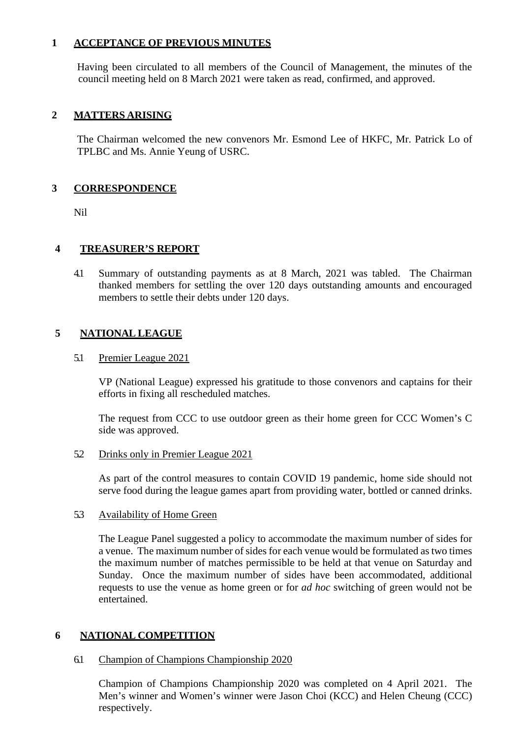#### **1 ACCEPTANCE OF PREVIOUS MINUTES**

Having been circulated to all members of the Council of Management, the minutes of the council meeting held on 8 March 2021 were taken as read, confirmed, and approved.

## **2 MATTERS ARISING**

The Chairman welcomed the new convenors Mr. Esmond Lee of HKFC, Mr. Patrick Lo of TPLBC and Ms. Annie Yeung of USRC.

#### **3 CORRESPONDENCE**

Nil

#### **4 TREASURER'S REPORT**

4.1 Summary of outstanding payments as at 8 March, 2021 was tabled. The Chairman thanked members for settling the over 120 days outstanding amounts and encouraged members to settle their debts under 120 days.

#### **5 NATIONAL LEAGUE**

#### 5.1 Premier League 2021

VP (National League) expressed his gratitude to those convenors and captains for their efforts in fixing all rescheduled matches.

The request from CCC to use outdoor green as their home green for CCC Women's C side was approved.

#### 5.2 Drinks only in Premier League 2021

As part of the control measures to contain COVID 19 pandemic, home side should not serve food during the league games apart from providing water, bottled or canned drinks.

#### 5.3 Availability of Home Green

The League Panel suggested a policy to accommodate the maximum number of sides for a venue. The maximum number of sides for each venue would be formulated as two times the maximum number of matches permissible to be held at that venue on Saturday and Sunday. Once the maximum number of sides have been accommodated, additional requests to use the venue as home green or for *ad hoc* switching of green would not be entertained.

#### **6 NATIONAL COMPETITION**

#### 6.1 Champion of Champions Championship 2020

Champion of Champions Championship 2020 was completed on 4 April 2021. The Men's winner and Women's winner were Jason Choi (KCC) and Helen Cheung (CCC) respectively.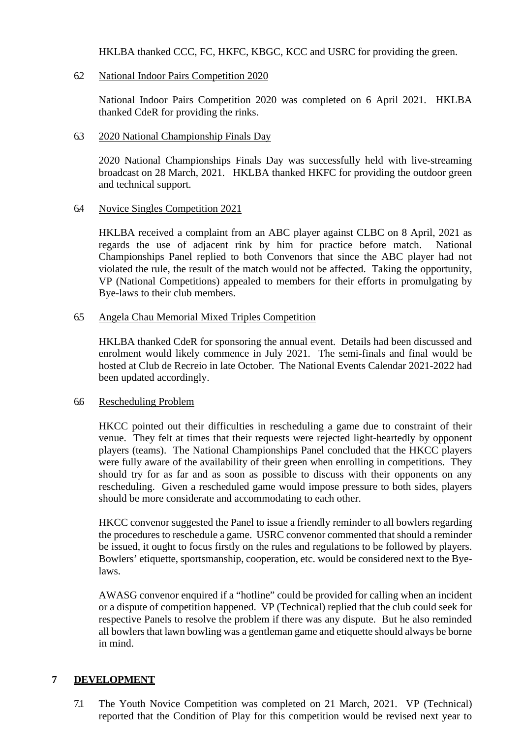HKLBA thanked CCC, FC, HKFC, KBGC, KCC and USRC for providing the green.

#### 6.2 National Indoor Pairs Competition 2020

National Indoor Pairs Competition 2020 was completed on 6 April 2021. HKLBA thanked CdeR for providing the rinks.

#### 6.3 2020 National Championship Finals Day

2020 National Championships Finals Day was successfully held with live-streaming broadcast on 28 March, 2021. HKLBA thanked HKFC for providing the outdoor green and technical support.

#### 6.4 Novice Singles Competition 2021

HKLBA received a complaint from an ABC player against CLBC on 8 April, 2021 as regards the use of adjacent rink by him for practice before match. National Championships Panel replied to both Convenors that since the ABC player had not violated the rule, the result of the match would not be affected. Taking the opportunity, VP (National Competitions) appealed to members for their efforts in promulgating by Bye-laws to their club members.

#### 6.5 Angela Chau Memorial Mixed Triples Competition

HKLBA thanked CdeR for sponsoring the annual event. Details had been discussed and enrolment would likely commence in July 2021. The semi-finals and final would be hosted at Club de Recreio in late October. The National Events Calendar 2021-2022 had been updated accordingly.

#### 6.6 Rescheduling Problem

HKCC pointed out their difficulties in rescheduling a game due to constraint of their venue. They felt at times that their requests were rejected light-heartedly by opponent players (teams). The National Championships Panel concluded that the HKCC players were fully aware of the availability of their green when enrolling in competitions. They should try for as far and as soon as possible to discuss with their opponents on any rescheduling. Given a rescheduled game would impose pressure to both sides, players should be more considerate and accommodating to each other.

HKCC convenor suggested the Panel to issue a friendly reminder to all bowlers regarding the procedures to reschedule a game. USRC convenor commented that should a reminder be issued, it ought to focus firstly on the rules and regulations to be followed by players. Bowlers' etiquette, sportsmanship, cooperation, etc. would be considered next to the Byelaws.

AWASG convenor enquired if a "hotline" could be provided for calling when an incident or a dispute of competition happened. VP (Technical) replied that the club could seek for respective Panels to resolve the problem if there was any dispute. But he also reminded all bowlers that lawn bowling was a gentleman game and etiquette should always be borne in mind.

# **7 DEVELOPMENT**

7.1 The Youth Novice Competition was completed on 21 March, 2021. VP (Technical) reported that the Condition of Play for this competition would be revised next year to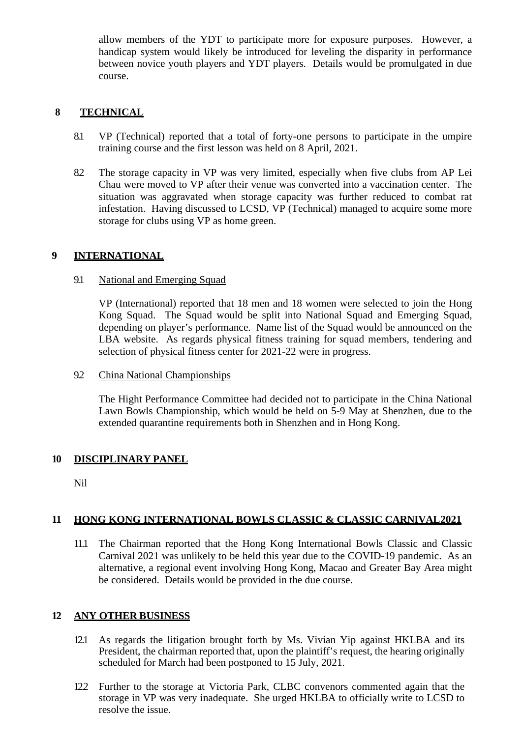allow members of the YDT to participate more for exposure purposes. However, a handicap system would likely be introduced for leveling the disparity in performance between novice youth players and YDT players. Details would be promulgated in due course.

## **8 TECHNICAL**

- 8.1 VP (Technical) reported that a total of forty-one persons to participate in the umpire training course and the first lesson was held on 8 April, 2021.
- 8.2 The storage capacity in VP was very limited, especially when five clubs from AP Lei Chau were moved to VP after their venue was converted into a vaccination center. The situation was aggravated when storage capacity was further reduced to combat rat infestation. Having discussed to LCSD, VP (Technical) managed to acquire some more storage for clubs using VP as home green.

#### **9 INTERNATIONAL**

#### 9.1 National and Emerging Squad

VP (International) reported that 18 men and 18 women were selected to join the Hong Kong Squad. The Squad would be split into National Squad and Emerging Squad, depending on player's performance. Name list of the Squad would be announced on the LBA website. As regards physical fitness training for squad members, tendering and selection of physical fitness center for 2021-22 were in progress.

9.2 China National Championships

The Hight Performance Committee had decided not to participate in the China National Lawn Bowls Championship, which would be held on 5-9 May at Shenzhen, due to the extended quarantine requirements both in Shenzhen and in Hong Kong.

#### **10 DISCIPLINARY PANEL**

Nil

#### **11 HONG KONG INTERNATIONAL BOWLS CLASSIC & CLASSIC CARNIVAL2021**

11.1 The Chairman reported that the Hong Kong International Bowls Classic and Classic Carnival 2021 was unlikely to be held this year due to the COVID-19 pandemic. As an alternative, a regional event involving Hong Kong, Macao and Greater Bay Area might be considered. Details would be provided in the due course.

#### **12 ANY OTHER BUSINESS**

- 12.1 As regards the litigation brought forth by Ms. Vivian Yip against HKLBA and its President, the chairman reported that, upon the plaintiff's request, the hearing originally scheduled for March had been postponed to 15 July, 2021.
- 12.2 Further to the storage at Victoria Park, CLBC convenors commented again that the storage in VP was very inadequate. She urged HKLBA to officially write to LCSD to resolve the issue.